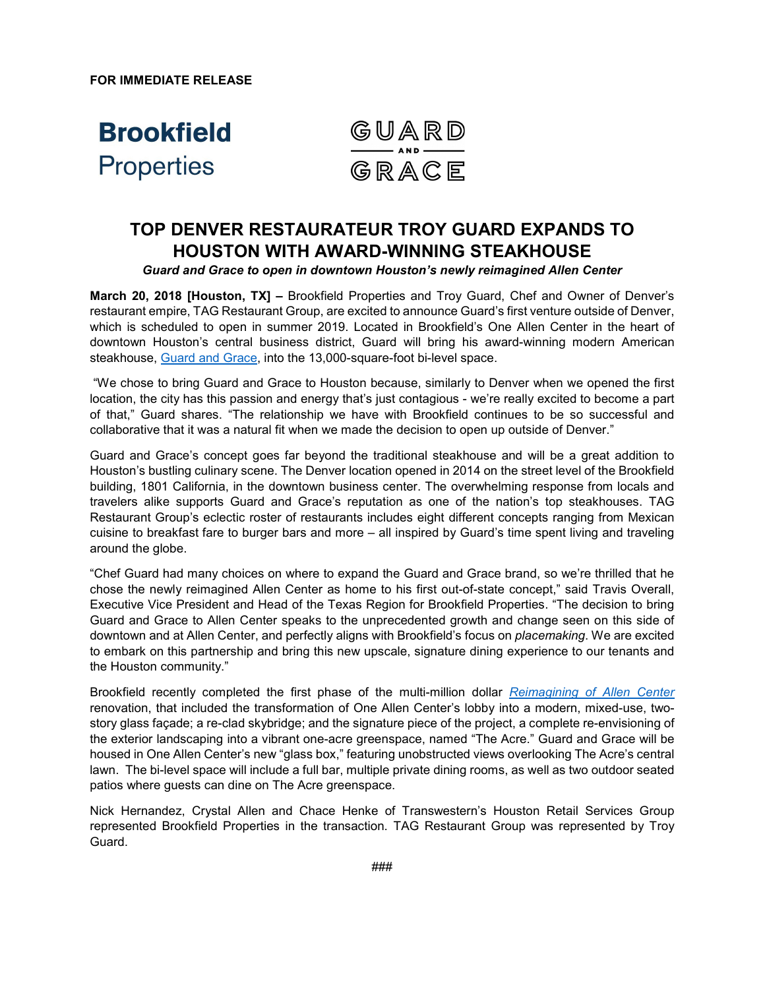**FOR IMMEDIATE RELEASE**



# **TOP DENVER RESTAURATEUR TROY GUARD EXPANDS TO HOUSTON WITH AWARD-WINNING STEAKHOUSE**

*Guard and Grace to open in downtown Houston's newly reimagined Allen Center*

**March 20, 2018 [Houston, TX] –** Brookfield Properties and Troy Guard, Chef and Owner of Denver's restaurant empire, TAG Restaurant Group, are excited to announce Guard's first venture outside of Denver, which is scheduled to open in summer 2019. Located in Brookfield's One Allen Center in the heart of downtown Houston's central business district, Guard will bring his award-winning modern American steakhouse, [Guard and Grace,](http://www.guardandgrace.com/) into the 13,000-square-foot bi-level space.

"We chose to bring Guard and Grace to Houston because, similarly to Denver when we opened the first location, the city has this passion and energy that's just contagious - we're really excited to become a part of that," Guard shares. "The relationship we have with Brookfield continues to be so successful and collaborative that it was a natural fit when we made the decision to open up outside of Denver."

Guard and Grace's concept goes far beyond the traditional steakhouse and will be a great addition to Houston's bustling culinary scene. The Denver location opened in 2014 on the street level of the Brookfield building, 1801 California, in the downtown business center. The overwhelming response from locals and travelers alike supports Guard and Grace's reputation as one of the nation's top steakhouses. TAG Restaurant Group's eclectic roster of restaurants includes eight different concepts ranging from Mexican cuisine to breakfast fare to burger bars and more – all inspired by Guard's time spent living and traveling around the globe.

"Chef Guard had many choices on where to expand the Guard and Grace brand, so we're thrilled that he chose the newly reimagined Allen Center as home to his first out-of-state concept," said Travis Overall, Executive Vice President and Head of the Texas Region for Brookfield Properties. "The decision to bring Guard and Grace to Allen Center speaks to the unprecedented growth and change seen on this side of downtown and at Allen Center, and perfectly aligns with Brookfield's focus on *placemaking*. We are excited to embark on this partnership and bring this new upscale, signature dining experience to our tenants and the Houston community."

Brookfield recently completed the first phase of the multi-million dollar *[Reimagining of Allen Center](http://allencenterhouston.com/)* renovation, that included the transformation of One Allen Center's lobby into a modern, mixed-use, twostory glass façade; a re-clad skybridge; and the signature piece of the project, a complete re-envisioning of the exterior landscaping into a vibrant one-acre greenspace, named "The Acre." Guard and Grace will be housed in One Allen Center's new "glass box," featuring unobstructed views overlooking The Acre's central lawn. The bi-level space will include a full bar, multiple private dining rooms, as well as two outdoor seated patios where guests can dine on The Acre greenspace.

Nick Hernandez, Crystal Allen and Chace Henke of Transwestern's Houston Retail Services Group represented Brookfield Properties in the transaction. TAG Restaurant Group was represented by Troy Guard.